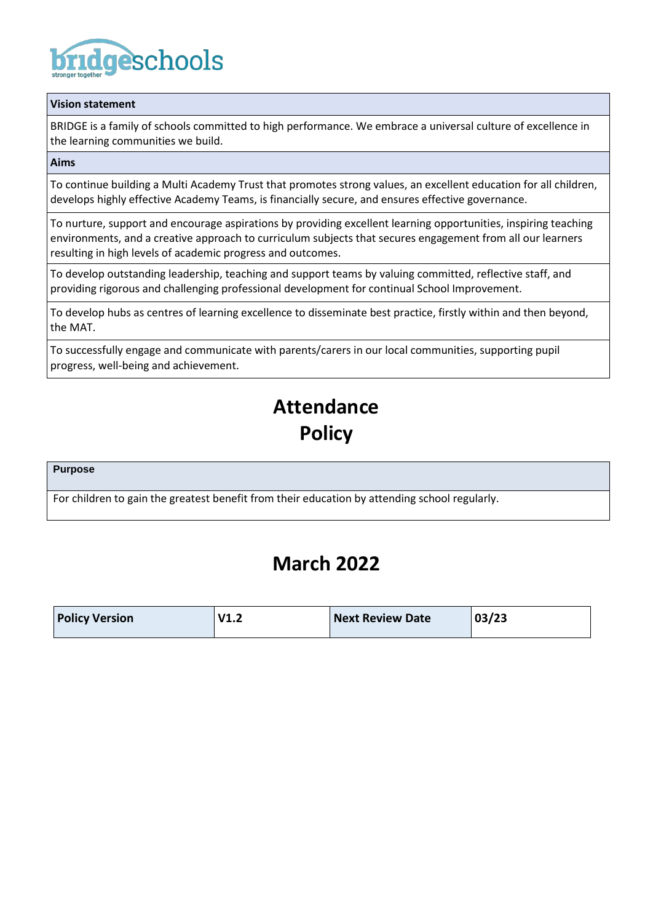

#### **Vision statement**

BRIDGE is a family of schools committed to high performance. We embrace a universal culture of excellence in the learning communities we build.

#### **Aims**

To continue building a Multi Academy Trust that promotes strong values, an excellent education for all children, develops highly effective Academy Teams, is financially secure, and ensures effective governance.

To nurture, support and encourage aspirations by providing excellent learning opportunities, inspiring teaching environments, and a creative approach to curriculum subjects that secures engagement from all our learners resulting in high levels of academic progress and outcomes.

To develop outstanding leadership, teaching and support teams by valuing committed, reflective staff, and providing rigorous and challenging professional development for continual School Improvement.

To develop hubs as centres of learning excellence to disseminate best practice, firstly within and then beyond, the MAT.

To successfully engage and communicate with parents/carers in our local communities, supporting pupil progress, well-being and achievement.

# **Attendance Policy**

**Purpose**

For children to gain the greatest benefit from their education by attending school regularly.

## **March 2022**

| <b>Policy Version</b> | V1.2 | <b>Next Review Date</b> | 03/23 |
|-----------------------|------|-------------------------|-------|
|-----------------------|------|-------------------------|-------|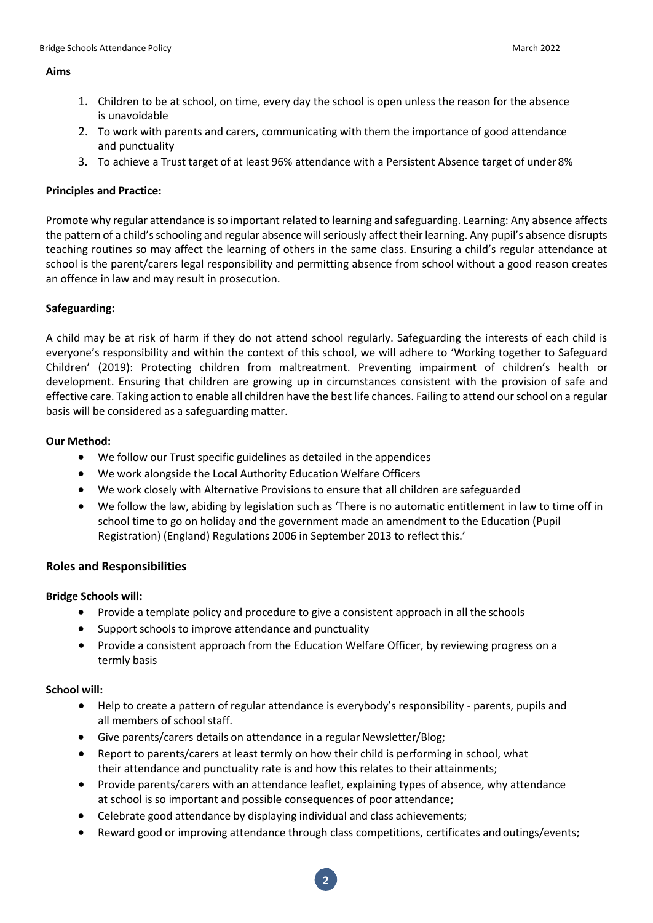#### **Aims**

- 1. Children to be at school, on time, every day the school is open unless the reason for the absence is unavoidable
- 2. To work with parents and carers, communicating with them the importance of good attendance and punctuality
- 3. To achieve a Trust target of at least 96% attendance with a Persistent Absence target of under 8%

#### **Principles and Practice:**

Promote why regular attendance is so important related to learning and safeguarding. Learning: Any absence affects the pattern of a child's schooling and regular absence will seriously affect their learning. Any pupil's absence disrupts teaching routines so may affect the learning of others in the same class. Ensuring a child's regular attendance at school is the parent/carers legal responsibility and permitting absence from school without a good reason creates an offence in law and may result in prosecution.

## **Safeguarding:**

A child may be at risk of harm if they do not attend school regularly. Safeguarding the interests of each child is everyone's responsibility and within the context of this school, we will adhere to 'Working together to Safeguard Children' (2019): Protecting children from maltreatment. Preventing impairment of children's health or development. Ensuring that children are growing up in circumstances consistent with the provision of safe and effective care. Taking action to enable all children have the best life chances. Failing to attend ourschool on a regular basis will be considered as a safeguarding matter.

## **Our Method:**

- We follow our Trust specific guidelines as detailed in the appendices
- We work alongside the Local Authority Education Welfare Officers
- We work closely with Alternative Provisions to ensure that all children are safeguarded
- We follow the law, abiding by legislation such as 'There is no automatic entitlement in law to time off in school time to go on holiday and the government made an amendment to the Education (Pupil Registration) (England) Regulations 2006 in September 2013 to reflect this.'

## **Roles and Responsibilities**

#### **Bridge Schools will:**

- Provide a template policy and procedure to give a consistent approach in all the schools
- Support schools to improve attendance and punctuality
- Provide a consistent approach from the Education Welfare Officer, by reviewing progress on a termly basis

#### **School will:**

- Help to create a pattern of regular attendance is everybody's responsibility parents, pupils and all members of school staff.
- Give parents/carers details on attendance in a regular Newsletter/Blog;
- Report to parents/carers at least termly on how their child is performing in school, what their attendance and punctuality rate is and how this relates to their attainments;
- Provide parents/carers with an attendance leaflet, explaining types of absence, why attendance at school is so important and possible consequences of poor attendance;
- Celebrate good attendance by displaying individual and class achievements;
- Reward good or improving attendance through class competitions, certificates and outings/events;